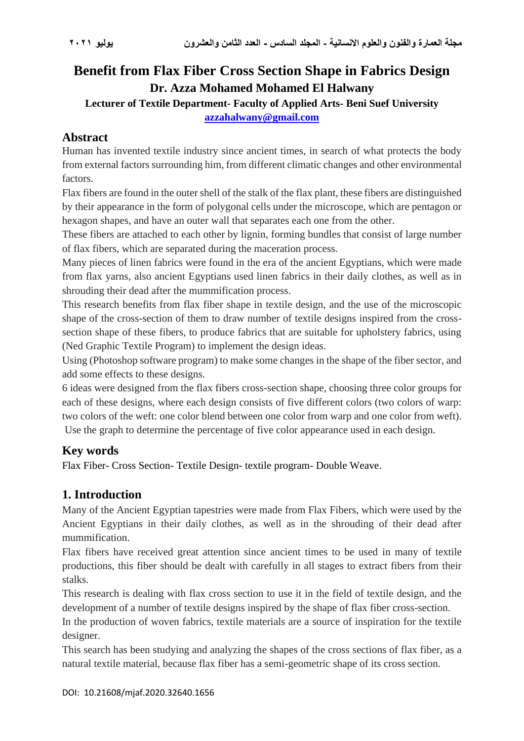# **Benefit from Flax Fiber Cross Section Shape in Fabrics Design Dr. Azza Mohamed Mohamed El Halwany**

**Lecturer of Textile Department- Faculty of Applied Arts- Beni Suef University [azzahalwany@gmail.com](mailto:azzahalwany@gmail.com)**

## **Abstract**

Human has invented textile industry since ancient times, in search of what protects the body from external factors surrounding him, from different climatic changes and other environmental factors.

Flax fibers are found in the outer shell of the stalk of the flax plant, these fibers are distinguished by their appearance in the form of polygonal cells under the microscope, which are pentagon or hexagon shapes, and have an outer wall that separates each one from the other.

These fibers are attached to each other by lignin, forming bundles that consist of large number of flax fibers, which are separated during the maceration process.

Many pieces of linen fabrics were found in the era of the ancient Egyptians, which were made from flax yarns, also ancient Egyptians used linen fabrics in their daily clothes, as well as in shrouding their dead after the mummification process.

This research benefits from flax fiber shape in textile design, and the use of the microscopic shape of the cross-section of them to draw number of textile designs inspired from the crosssection shape of these fibers, to produce fabrics that are suitable for upholstery fabrics, using (Ned Graphic Textile Program) to implement the design ideas.

Using (Photoshop software program) to make some changes in the shape of the fiber sector, and add some effects to these designs.

6 ideas were designed from the flax fibers cross-section shape, choosing three color groups for each of these designs, where each design consists of five different colors (two colors of warp: two colors of the weft: one color blend between one color from warp and one color from weft). Use the graph to determine the percentage of five color appearance used in each design.

### **Key words**

Flax Fiber- Cross Section- Textile Design- textile program- Double Weave.

## **1. Introduction**

Many of the Ancient Egyptian tapestries were made from Flax Fibers, which were used by the Ancient Egyptians in their daily clothes, as well as in the shrouding of their dead after mummification.

Flax fibers have received great attention since ancient times to be used in many of textile productions, this fiber should be dealt with carefully in all stages to extract fibers from their stalks.

This research is dealing with flax cross section to use it in the field of textile design, and the development of a number of textile designs inspired by the shape of flax fiber cross-section.

In the production of woven fabrics, textile materials are a source of inspiration for the textile designer.

This search has been studying and analyzing the shapes of the cross sections of flax fiber, as a natural textile material, because flax fiber has a semi-geometric shape of its cross section.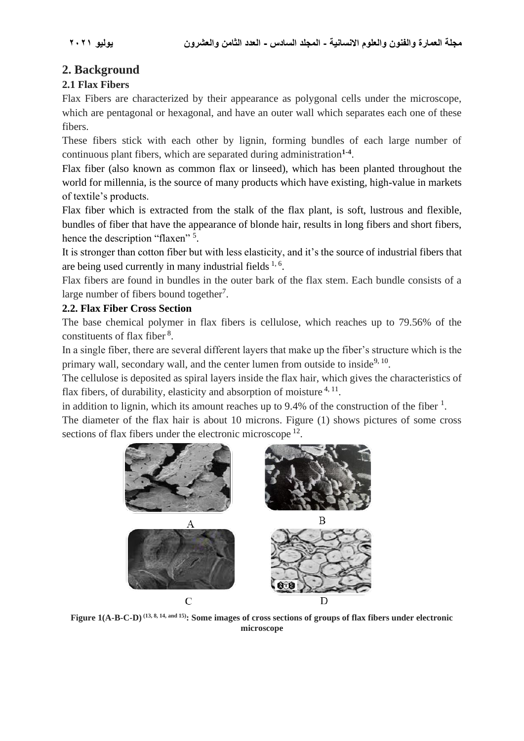## **2. Background**

#### **2.1 Flax Fibers**

Flax Fibers are characterized by their appearance as polygonal cells under the microscope, which are pentagonal or hexagonal, and have an outer wall which separates each one of these fibers.

These fibers stick with each other by lignin, forming bundles of each large number of continuous plant fibers, which are separated during administration**1-4** .

Flax fiber (also known as common flax or linseed), which has been planted throughout the world for millennia, is the source of many products which have existing, high-value in markets of textile's products.

Flax fiber which is extracted from the stalk of the flax plant, is soft, lustrous and flexible, bundles of fiber that have the appearance of blonde hair, results in long fibers and short fibers, hence the description "flaxen"<sup>5</sup>.

It is stronger than cotton fiber but with less elasticity, and it's the source of industrial fibers that are being used currently in many industrial fields  $1, 6$ .

Flax fibers are found in bundles in the outer bark of the flax stem. Each bundle consists of a large number of fibers bound together<sup>7</sup>.

#### **2.2. Flax Fiber Cross Section**

The base chemical polymer in flax fibers is cellulose, which reaches up to 79.56% of the constituents of flax fiber<sup>8</sup>.

In a single fiber, there are several different layers that make up the fiber's structure which is the primary wall, secondary wall, and the center lumen from outside to inside<sup>9, 10</sup>.

The cellulose is deposited as spiral layers inside the flax hair, which gives the characteristics of flax fibers, of durability, elasticity and absorption of moisture <sup>4, 11</sup>.

in addition to lignin, which its amount reaches up to 9.4% of the construction of the fiber  $<sup>1</sup>$ .</sup>

The diameter of the flax hair is about 10 microns. Figure (1) shows pictures of some cross sections of flax fibers under the electronic microscope<sup>12</sup>.



**Figure 1(A-B-C-D) (13, 8, 14, and 15): Some images of cross sections of groups of flax fibers under electronic microscope**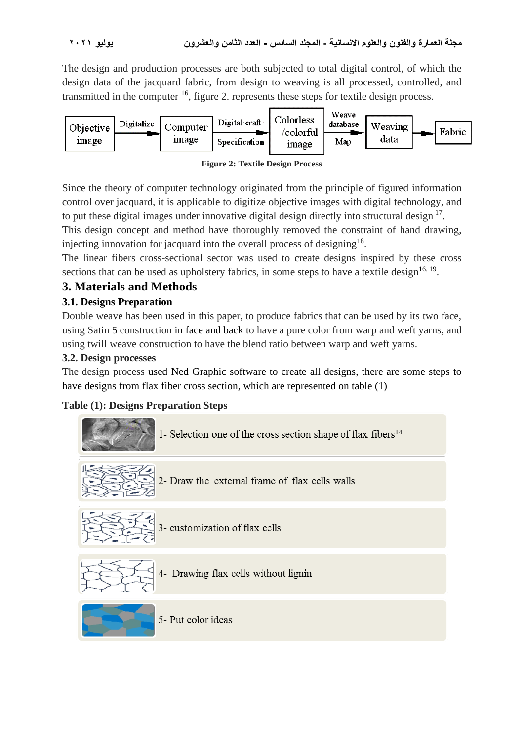The design and production processes are both subjected to total digital control, of which the design data of the jacquard fabric, from design to weaving is all processed, controlled, and transmitted in the computer  $^{16}$ , figure 2. represents these steps for textile design process.



**Figure 2: Textile Design Process**

Since the theory of computer technology originated from the principle of figured information control over jacquard, it is applicable to digitize objective images with digital technology, and to put these digital images under innovative digital design directly into structural design <sup>17</sup>.

This design concept and method have thoroughly removed the constraint of hand drawing, injecting innovation for jacquard into the overall process of designing<sup>18</sup>.

The linear fibers cross-sectional sector was used to create designs inspired by these cross sections that can be used as upholstery fabrics, in some steps to have a textile design<sup>16, 19</sup>.

# **3. Materials and Methods**

### **3.1. Designs Preparation**

Double weave has been used in this paper, to produce fabrics that can be used by its two face, using Satin 5 construction in face and back to have a pure color from warp and weft yarns, and using twill weave construction to have the blend ratio between warp and weft yarns.

### **3.2. Design processes**

The design process used Ned Graphic software to create all designs, there are some steps to have designs from flax fiber cross section, which are represented on table (1)

### **Table (1): Designs Preparation Steps**

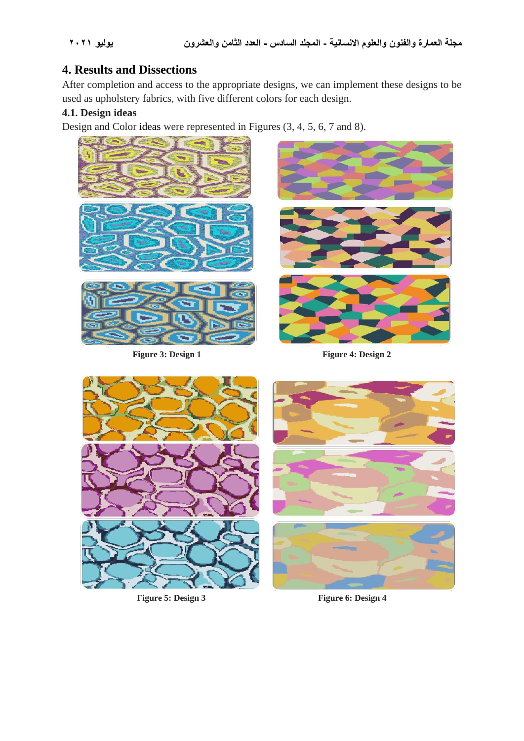## **4. Results and Dissections**

After completion and access to the appropriate designs, we can implement these designs to be used as upholstery fabrics, with five different colors for each design.

#### **4.1. Design ideas**

Design and Color ideas were represented in Figures (3, 4, 5, 6, 7 and 8).



**Figure 3: Design 1** Figure 4: Design 2





**Figure 5: Design 3** Figure 6: Design 4

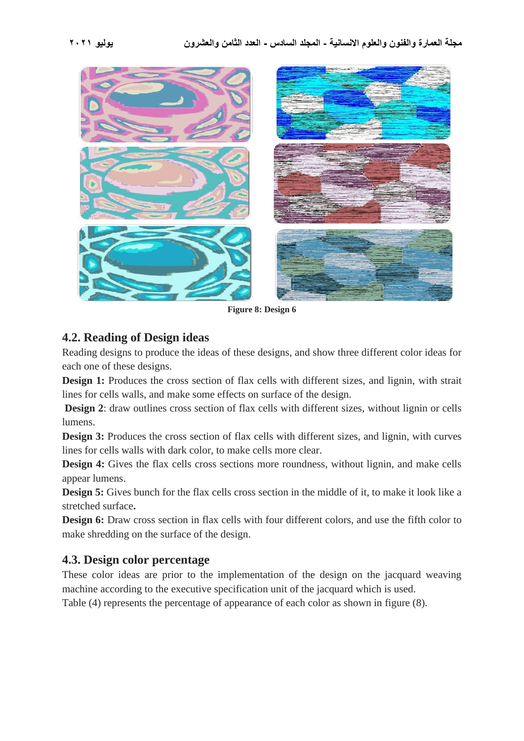

**Figure 8: Design 6**

#### **4.2. Reading of Design ideas**

Reading designs to produce the ideas of these designs, and show three different color ideas for each one of these designs.

**Design 1:** Produces the cross section of flax cells with different sizes, and lignin, with strait lines for cells walls, and make some effects on surface of the design.

**Design 2**: draw outlines cross section of flax cells with different sizes, without lignin or cells lumens.

**Design 3:** Produces the cross section of flax cells with different sizes, and lignin, with curves lines for cells walls with dark color, to make cells more clear.

**Design 4:** Gives the flax cells cross sections more roundness, without lignin, and make cells appear lumens.

**Design 5:** Gives bunch for the flax cells cross section in the middle of it, to make it look like a stretched surface**.**

**Design 6:** Draw cross section in flax cells with four different colors, and use the fifth color to make shredding on the surface of the design.

### **4.3. Design color percentage**

These color ideas are prior to the implementation of the design on the jacquard weaving machine according to the executive specification unit of the jacquard which is used.

Table (4) represents the percentage of appearance of each color as shown in figure (8).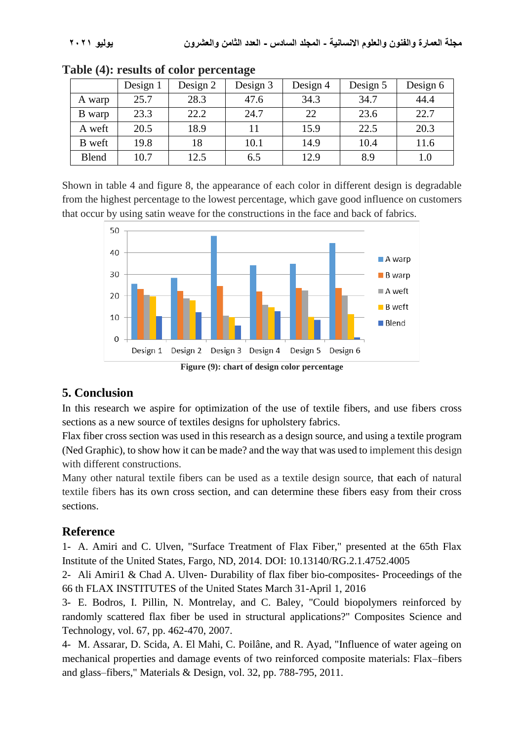|              | Design 1 | Design 2 | Design 3 | Design 4 | Design 5 | Design 6 |
|--------------|----------|----------|----------|----------|----------|----------|
| A warp       | 25.7     | 28.3     | 47.6     | 34.3     | 34.7     | 44.4     |
| B warp       | 23.3     | 22.2     | 24.7     | 22       | 23.6     | 22.7     |
| A weft       | 20.5     | 18.9     |          | 15.9     | 22.5     | 20.3     |
| B weft       | 19.8     | 18       | 10.1     | 14.9     | 10.4     | 11.6     |
| <b>Blend</b> | 10.7     | 12.5     | 6.5      | 12.9     | 8.9      | 1.0      |

|  |  | Table (4): results of color percentage |
|--|--|----------------------------------------|
|  |  |                                        |

Shown in table 4 and figure 8, the appearance of each color in different design is degradable from the highest percentage to the lowest percentage, which gave good influence on customers that occur by using satin weave for the constructions in the face and back of fabrics.



**Figure (9): chart of design color percentage**

## **5. Conclusion**

In this research we aspire for optimization of the use of textile fibers, and use fibers cross sections as a new source of textiles designs for upholstery fabrics.

Flax fiber cross section was used in this research as a design source, and using a textile program (Ned Graphic), to show how it can be made? and the way that was used to implement this design with different constructions.

Many other natural textile fibers can be used as a textile design source, that each of natural textile fibers has its own cross section, and can determine these fibers easy from their cross sections.

## **Reference**

1- A. Amiri and C. Ulven, "Surface Treatment of Flax Fiber," presented at the 65th Flax Institute of the United States, Fargo, ND, 2014. DOI: 10.13140/RG.2.1.4752.4005

2- Ali Amiri1 & Chad A. Ulven- Durability of flax fiber bio-composites- Proceedings of the 66 th FLAX INSTITUTES of the United States March 31-April 1, 2016

3- E. Bodros, I. Pillin, N. Montrelay, and C. Baley, "Could biopolymers reinforced by randomly scattered flax fiber be used in structural applications?" Composites Science and Technology, vol. 67, pp. 462-470, 2007.

4- M. Assarar, D. Scida, A. El Mahi, C. Poilâne, and R. Ayad, "Influence of water ageing on mechanical properties and damage events of two reinforced composite materials: Flax–fibers and glass–fibers," Materials & Design, vol. 32, pp. 788-795, 2011.